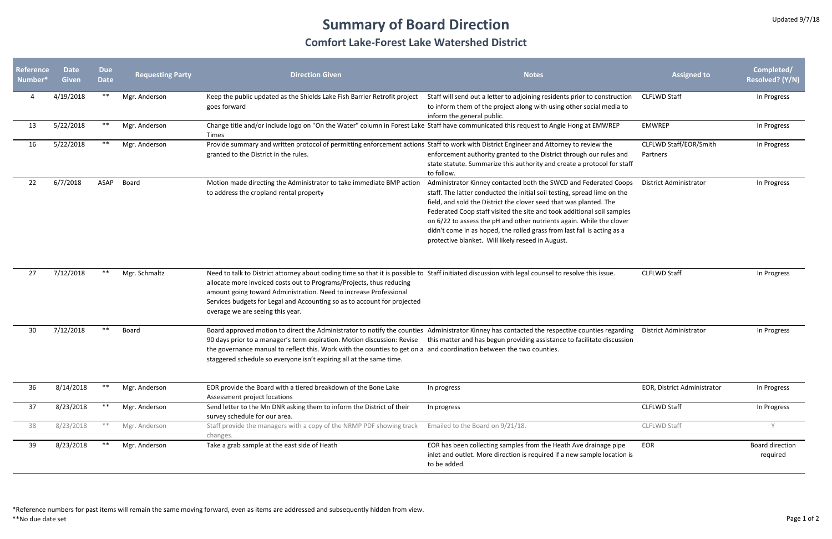## **Summary of Board Direction**

## **Comfort Lake‐Forest Lake Watershed District**

\*Reference numbers for past items will remain the same moving forward, even as items are addressed and subsequently hidden from view. \*\*No due date set Page 1 of 2

| Reference<br>Number* | <b>Date</b><br><b>Given</b> | <b>Due</b><br><b>Date</b> | <b>Requesting Party</b> | <b>Direction Given</b>                                                                                                                                                                                                                                                                                                                                                                                                                                                                          | <b>Notes</b>                                                                                                                                                                                                                                                                                                                                                                                                                                                                                         | <b>Assigned to</b>                 | Completed/<br><b>Resolved? (Y/N)</b> |
|----------------------|-----------------------------|---------------------------|-------------------------|-------------------------------------------------------------------------------------------------------------------------------------------------------------------------------------------------------------------------------------------------------------------------------------------------------------------------------------------------------------------------------------------------------------------------------------------------------------------------------------------------|------------------------------------------------------------------------------------------------------------------------------------------------------------------------------------------------------------------------------------------------------------------------------------------------------------------------------------------------------------------------------------------------------------------------------------------------------------------------------------------------------|------------------------------------|--------------------------------------|
|                      | 4/19/2018                   | $***$                     | Mgr. Anderson           | Keep the public updated as the Shields Lake Fish Barrier Retrofit project<br>goes forward                                                                                                                                                                                                                                                                                                                                                                                                       | Staff will send out a letter to adjoining residents prior to construction<br>to inform them of the project along with using other social media to<br>inform the general public.                                                                                                                                                                                                                                                                                                                      | <b>CLFLWD Staff</b>                | In Progress                          |
| 13                   | 5/22/2018                   | **                        | Mgr. Anderson           | Change title and/or include logo on "On the Water" column in Forest Lake Staff have communicated this request to Angie Hong at EMWREP<br>Times                                                                                                                                                                                                                                                                                                                                                  |                                                                                                                                                                                                                                                                                                                                                                                                                                                                                                      | <b>EMWREP</b>                      | In Progress                          |
| 16                   | 5/22/2018                   | **                        | Mgr. Anderson           | Provide summary and written protocol of permitting enforcement actions Staff to work with District Engineer and Attorney to review the<br>granted to the District in the rules.                                                                                                                                                                                                                                                                                                                 | enforcement authority granted to the District through our rules and<br>state statute. Summarize this authority and create a protocol for staff<br>to follow.                                                                                                                                                                                                                                                                                                                                         | CLFLWD Staff/EOR/Smith<br>Partners | In Progress                          |
| 22                   | 6/7/2018                    | ASAP                      | Board                   | Motion made directing the Administrator to take immediate BMP action<br>to address the cropland rental property                                                                                                                                                                                                                                                                                                                                                                                 | Administrator Kinney contacted both the SWCD and Federated Coops<br>staff. The latter conducted the initial soil testing, spread lime on the<br>field, and sold the District the clover seed that was planted. The<br>Federated Coop staff visited the site and took additional soil samples<br>on 6/22 to assess the pH and other nutrients again. While the clover<br>didn't come in as hoped, the rolled grass from last fall is acting as a<br>protective blanket. Will likely reseed in August. | <b>District Administrator</b>      | In Progress                          |
| 27                   | 7/12/2018                   | **                        | Mgr. Schmaltz           | Need to talk to District attorney about coding time so that it is possible to Staff initiated discussion with legal counsel to resolve this issue.<br>allocate more invoiced costs out to Programs/Projects, thus reducing<br>amount going toward Administration. Need to increase Professional<br>Services budgets for Legal and Accounting so as to account for projected<br>overage we are seeing this year.                                                                                 |                                                                                                                                                                                                                                                                                                                                                                                                                                                                                                      | <b>CLFLWD Staff</b>                | In Progress                          |
| 30                   | 7/12/2018                   | **                        | Board                   | Board approved motion to direct the Administrator to notify the counties Administrator Kinney has contacted the respective counties regarding<br>90 days prior to a manager's term expiration. Motion discussion: Revise this matter and has begun providing assistance to facilitate discussion<br>the governance manual to reflect this. Work with the counties to get on a and coordination between the two counties.<br>staggered schedule so everyone isn't expiring all at the same time. |                                                                                                                                                                                                                                                                                                                                                                                                                                                                                                      | District Administrator             | In Progress                          |
| 36                   | 8/14/2018                   | **                        | Mgr. Anderson           | EOR provide the Board with a tiered breakdown of the Bone Lake<br>Assessment project locations                                                                                                                                                                                                                                                                                                                                                                                                  | In progress                                                                                                                                                                                                                                                                                                                                                                                                                                                                                          | EOR, District Administrator        | In Progress                          |
| 37                   | 8/23/2018                   | **                        | Mgr. Anderson           | Send letter to the Mn DNR asking them to inform the District of their<br>survey schedule for our area.                                                                                                                                                                                                                                                                                                                                                                                          | In progress                                                                                                                                                                                                                                                                                                                                                                                                                                                                                          | <b>CLFLWD Staff</b>                | In Progress                          |
| 38                   | 8/23/2018                   | $***$                     | Mgr. Anderson           | Staff provide the managers with a copy of the NRMP PDF showing track<br>changes.                                                                                                                                                                                                                                                                                                                                                                                                                | Emailed to the Board on 9/21/18.                                                                                                                                                                                                                                                                                                                                                                                                                                                                     | CLFLWD Staff                       | <b>V</b>                             |
| 39                   | 8/23/2018                   |                           | Mgr. Anderson           | Take a grab sample at the east side of Heath                                                                                                                                                                                                                                                                                                                                                                                                                                                    | EOR has been collecting samples from the Heath Ave drainage pipe<br>inlet and outlet. More direction is required if a new sample location is<br>to be added.                                                                                                                                                                                                                                                                                                                                         | EOR                                | <b>Board direction</b><br>required   |